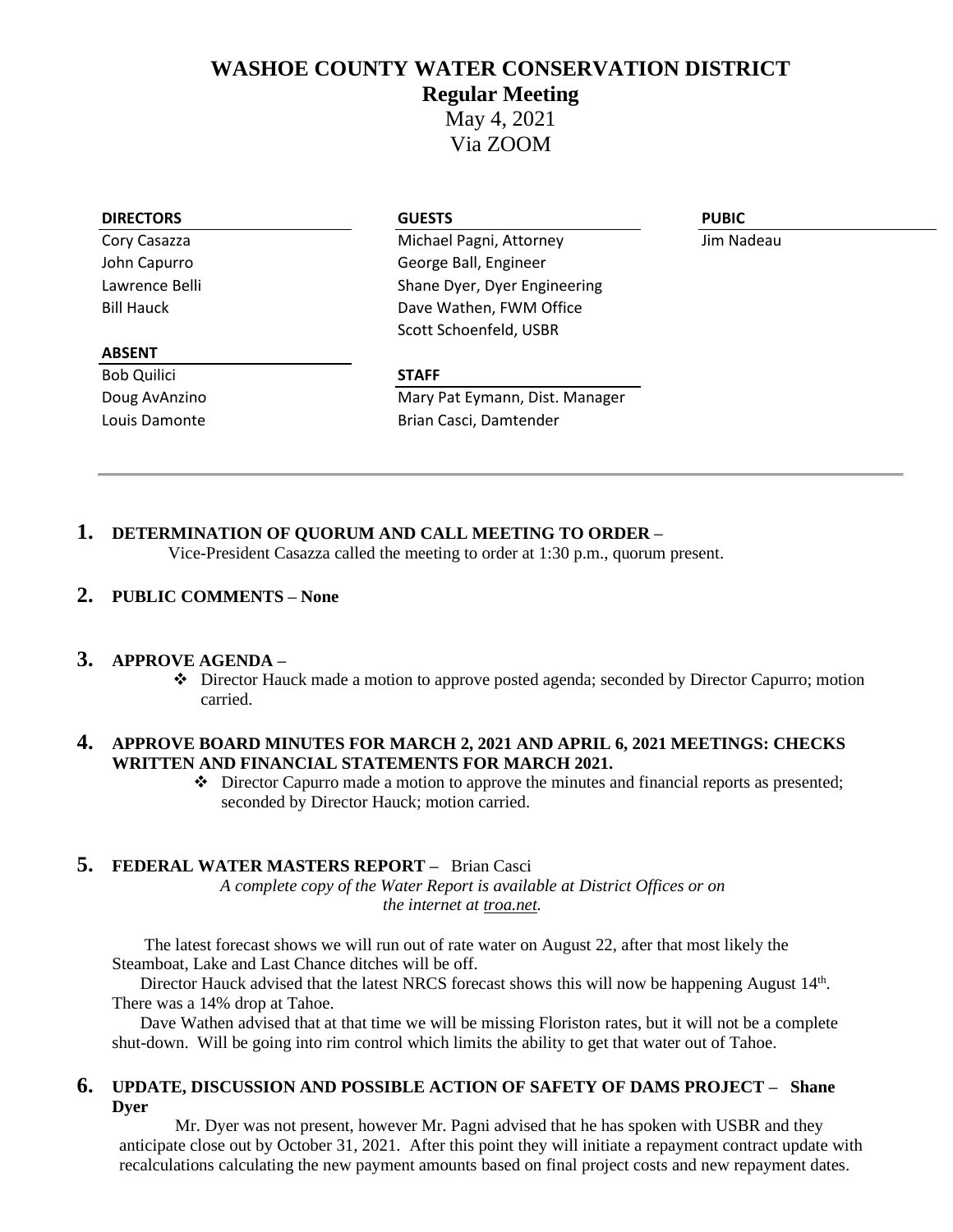# **WASHOE COUNTY WATER CONSERVATION DISTRICT**

**Regular Meeting**

May 4, 2021 Via ZOOM

#### **DIRECTORS GUESTS PUBIC**

Cory Casazza Michael Pagni, Attorney Jim Nadeau John Capurro George Ball, Engineer Lawrence Belli Shane Dyer, Dyer Engineering Bill Hauck **Dave Wathen, FWM Office** Scott Schoenfeld, USBR

#### **ABSENT**

Bob Quilici **STAFF**

Doug AvAnzino **Mary Pat Eymann, Dist. Manager** Louis Damonte **Brian Casci**, Damtender

# **1. DETERMINATION OF QUORUM AND CALL MEETING TO ORDER –**

Vice-President Casazza called the meeting to order at 1:30 p.m., quorum present.

# **2. PUBLIC COMMENTS – None**

# **3. APPROVE AGENDA –**

❖ Director Hauck made a motion to approve posted agenda; seconded by Director Capurro; motion carried.

#### **4. APPROVE BOARD MINUTES FOR MARCH 2, 2021 AND APRIL 6, 2021 MEETINGS: CHECKS WRITTEN AND FINANCIAL STATEMENTS FOR MARCH 2021.**

❖ Director Capurro made a motion to approve the minutes and financial reports as presented; seconded by Director Hauck; motion carried.

#### **5. FEDERAL WATER MASTERS REPORT –** Brian Casci

*A complete copy of the Water Report is available at District Offices or on the internet at troa.net.*

The latest forecast shows we will run out of rate water on August 22, after that most likely the Steamboat, Lake and Last Chance ditches will be off.

Director Hauck advised that the latest NRCS forecast shows this will now be happening August 14<sup>th</sup>. There was a 14% drop at Tahoe.

Dave Wathen advised that at that time we will be missing Floriston rates, but it will not be a complete shut-down. Will be going into rim control which limits the ability to get that water out of Tahoe.

#### **6. UPDATE, DISCUSSION AND POSSIBLE ACTION OF SAFETY OF DAMS PROJECT – Shane Dyer**

Mr. Dyer was not present, however Mr. Pagni advised that he has spoken with USBR and they anticipate close out by October 31, 2021. After this point they will initiate a repayment contract update with recalculations calculating the new payment amounts based on final project costs and new repayment dates.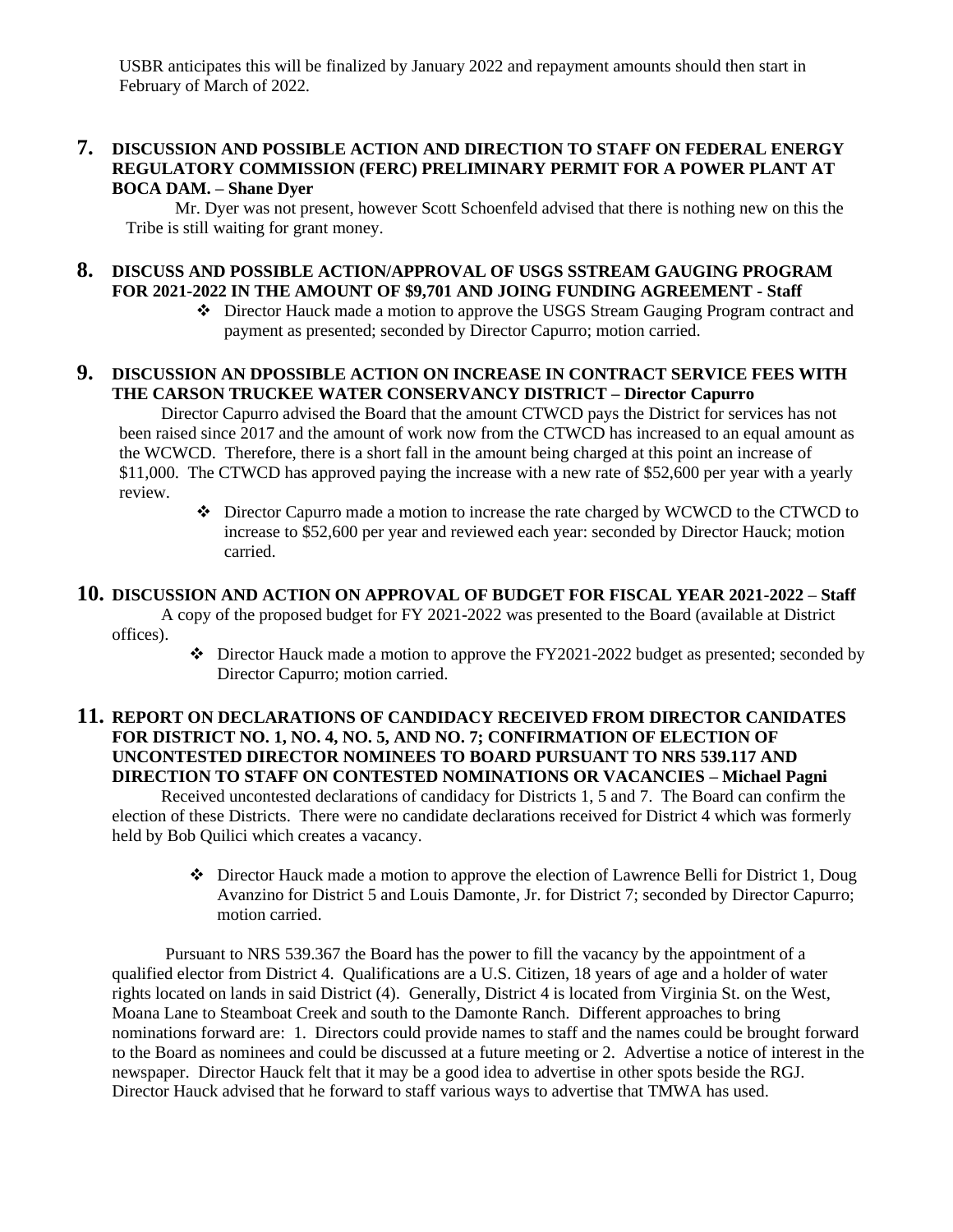USBR anticipates this will be finalized by January 2022 and repayment amounts should then start in February of March of 2022.

# **7. DISCUSSION AND POSSIBLE ACTION AND DIRECTION TO STAFF ON FEDERAL ENERGY REGULATORY COMMISSION (FERC) PRELIMINARY PERMIT FOR A POWER PLANT AT BOCA DAM. – Shane Dyer**

Mr. Dyer was not present, however Scott Schoenfeld advised that there is nothing new on this the Tribe is still waiting for grant money.

#### **8. DISCUSS AND POSSIBLE ACTION/APPROVAL OF USGS SSTREAM GAUGING PROGRAM FOR 2021-2022 IN THE AMOUNT OF \$9,701 AND JOING FUNDING AGREEMENT - Staff**

❖ Director Hauck made a motion to approve the USGS Stream Gauging Program contract and payment as presented; seconded by Director Capurro; motion carried.

# **9. DISCUSSION AN DPOSSIBLE ACTION ON INCREASE IN CONTRACT SERVICE FEES WITH THE CARSON TRUCKEE WATER CONSERVANCY DISTRICT – Director Capurro**

Director Capurro advised the Board that the amount CTWCD pays the District for services has not been raised since 2017 and the amount of work now from the CTWCD has increased to an equal amount as the WCWCD. Therefore, there is a short fall in the amount being charged at this point an increase of \$11,000. The CTWCD has approved paying the increase with a new rate of \$52,600 per year with a yearly review.

> ❖ Director Capurro made a motion to increase the rate charged by WCWCD to the CTWCD to increase to \$52,600 per year and reviewed each year: seconded by Director Hauck; motion carried.

### **10. DISCUSSION AND ACTION ON APPROVAL OF BUDGET FOR FISCAL YEAR 2021-2022 – Staff**

A copy of the proposed budget for FY 2021-2022 was presented to the Board (available at District offices).

> ❖ Director Hauck made a motion to approve the FY2021-2022 budget as presented; seconded by Director Capurro; motion carried.

# **11. REPORT ON DECLARATIONS OF CANDIDACY RECEIVED FROM DIRECTOR CANIDATES FOR DISTRICT NO. 1, NO. 4, NO. 5, AND NO. 7; CONFIRMATION OF ELECTION OF UNCONTESTED DIRECTOR NOMINEES TO BOARD PURSUANT TO NRS 539.117 AND DIRECTION TO STAFF ON CONTESTED NOMINATIONS OR VACANCIES – Michael Pagni**

Received uncontested declarations of candidacy for Districts 1, 5 and 7. The Board can confirm the election of these Districts. There were no candidate declarations received for District 4 which was formerly held by Bob Quilici which creates a vacancy.

> $\bullet$  Director Hauck made a motion to approve the election of Lawrence Belli for District 1, Doug Avanzino for District 5 and Louis Damonte, Jr. for District 7; seconded by Director Capurro; motion carried.

Pursuant to NRS 539.367 the Board has the power to fill the vacancy by the appointment of a qualified elector from District 4. Qualifications are a U.S. Citizen, 18 years of age and a holder of water rights located on lands in said District (4). Generally, District 4 is located from Virginia St. on the West, Moana Lane to Steamboat Creek and south to the Damonte Ranch. Different approaches to bring nominations forward are: 1. Directors could provide names to staff and the names could be brought forward to the Board as nominees and could be discussed at a future meeting or 2. Advertise a notice of interest in the newspaper. Director Hauck felt that it may be a good idea to advertise in other spots beside the RGJ. Director Hauck advised that he forward to staff various ways to advertise that TMWA has used.